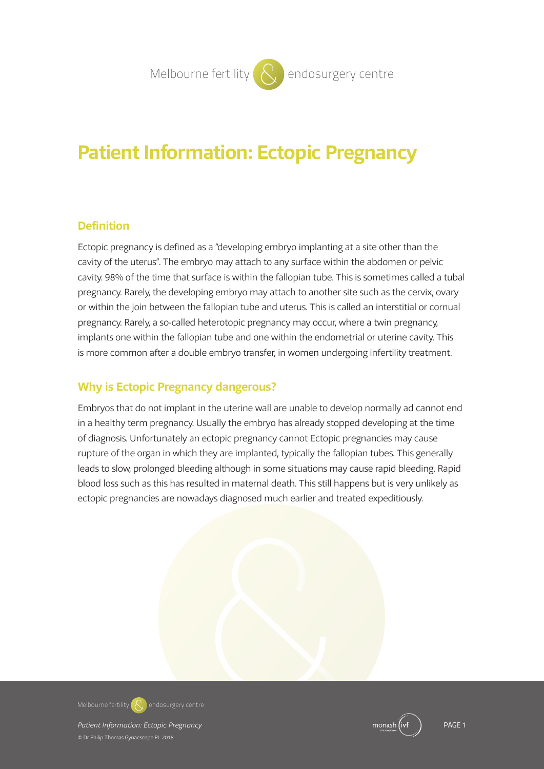# **Patient Information: Ectopic Pregnancy**

#### **Definition**

Ectopic pregnancy is defined as a "developing embryo implanting at a site other than the cavity of the uterus". The embryo may attach to any surface within the abdomen or pelvic cavity. 98% of the time that surface is within the fallopian tube. This is sometimes called a tubal pregnancy. Rarely, the developing embryo may attach to another site such as the cervix, ovary or within the join between the fallopian tube and uterus. This is called an interstitial or cornual pregnancy. Rarely, a so-called heterotopic pregnancy may occur, where a twin pregnancy, implants one within the fallopian tube and one within the endometrial or uterine cavity. This is more common after a double embryo transfer, in women undergoing infertility treatment.

## **Why is Ectopic Pregnancy dangerous?**

Embryos that do not implant in the uterine wall are unable to develop normally ad cannot end in a healthy term pregnancy. Usually the embryo has already stopped developing at the time of diagnosis. Unfortunately an ectopic pregnancy cannot Ectopic pregnancies may cause rupture of the organ in which they are implanted, typically the fallopian tubes. This generally leads to slow, prolonged bleeding although in some situations may cause rapid bleeding. Rapid blood loss such as this has resulted in maternal death. This still happens but is very unlikely as ectopic pregnancies are nowadays diagnosed much earlier and treated expeditiously.



**Patient Information: Ectopic Pregnancy Properties and Containing Patient Containers PAGE 1 PAGE 1** © Dr Philip Thomas Gynaescope PL 2018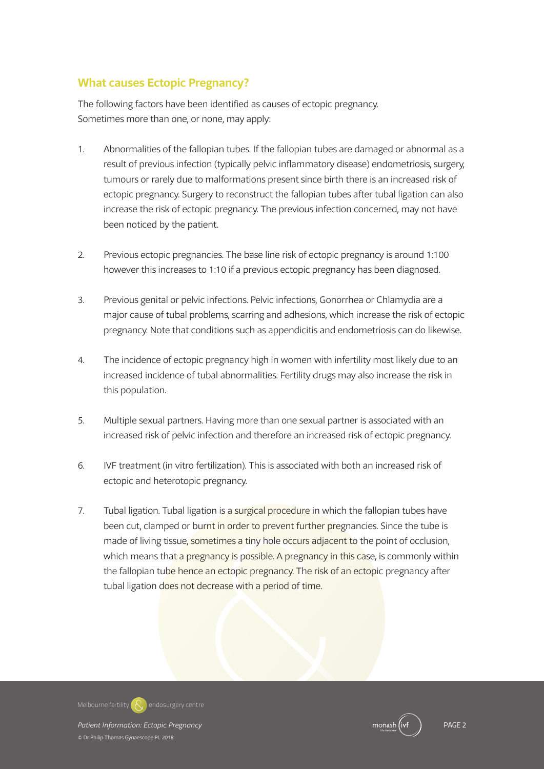# **What causes Ectopic Pregnancy?**

The following factors have been identified as causes of ectopic pregnancy. Sometimes more than one, or none, may apply:

- 1. Abnormalities of the fallopian tubes. If the fallopian tubes are damaged or abnormal as a result of previous infection (typically pelvic inflammatory disease) endometriosis, surgery, tumours or rarely due to malformations present since birth there is an increased risk of ectopic pregnancy. Surgery to reconstruct the fallopian tubes after tubal ligation can also increase the risk of ectopic pregnancy. The previous infection concerned, may not have been noticed by the patient.
- 2. Previous ectopic pregnancies. The base line risk of ectopic pregnancy is around 1:100 however this increases to 1:10 if a previous ectopic pregnancy has been diagnosed.
- 3. Previous genital or pelvic infections. Pelvic infections, Gonorrhea or Chlamydia are a major cause of tubal problems, scarring and adhesions, which increase the risk of ectopic pregnancy. Note that conditions such as appendicitis and endometriosis can do likewise.
- 4. The incidence of ectopic pregnancy high in women with infertility most likely due to an increased incidence of tubal abnormalities. Fertility drugs may also increase the risk in this population.
- 5. Multiple sexual partners. Having more than one sexual partner is associated with an increased risk of pelvic infection and therefore an increased risk of ectopic pregnancy.
- 6. IVF treatment (in vitro fertilization). This is associated with both an increased risk of ectopic and heterotopic pregnancy.
- 7. Tubal ligation. Tubal ligation is a surgical procedure in which the fallopian tubes have been cut, clamped or burnt in order to prevent further pregnancies. Since the tube is made of living tissue, sometimes a tiny hole occurs adjacent to the point of occlusion, which means that a pregnancy is possible. A pregnancy in this case, is commonly within the fallopian tube hence an ectopic pregnancy. The risk of an ectopic pregnancy after tubal ligation does not decrease with a period of time.

*Patient Information: Ectopic Pregnancy* PAGE 2 **Melbourne fertility endosurgery centre**

© Dr Philip Thomas Gynaescope PL 2018

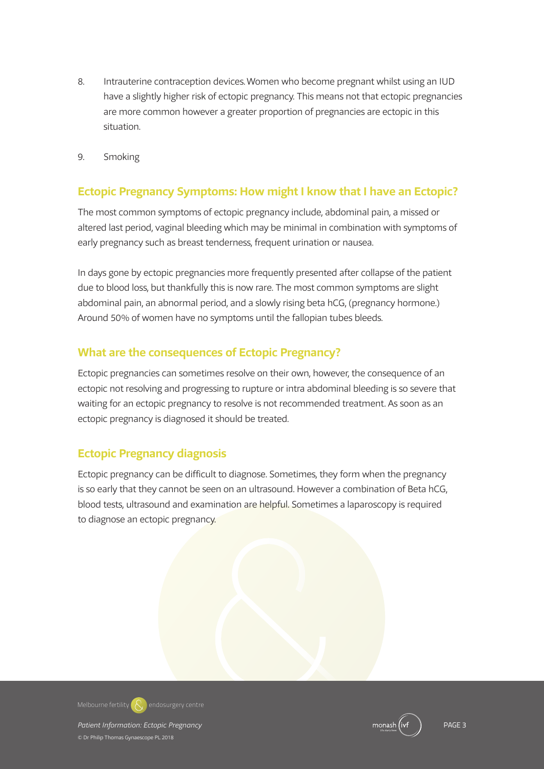- 8. Intrauterine contraception devices.Women who become pregnant whilst using an IUD have a slightly higher risk of ectopic pregnancy. This means not that ectopic pregnancies are more common however a greater proportion of pregnancies are ectopic in this situation.
- 9. Smoking

## **Ectopic Pregnancy Symptoms: How might I know that I have an Ectopic?**

The most common symptoms of ectopic pregnancy include, abdominal pain, a missed or altered last period, vaginal bleeding which may be minimal in combination with symptoms of early pregnancy such as breast tenderness, frequent urination or nausea.

In days gone by ectopic pregnancies more frequently presented after collapse of the patient due to blood loss, but thankfully this is now rare. The most common symptoms are slight abdominal pain, an abnormal period, and a slowly rising beta hCG, (pregnancy hormone.) Around 50% of women have no symptoms until the fallopian tubes bleeds.

## **What are the consequences of Ectopic Pregnancy?**

Ectopic pregnancies can sometimes resolve on their own, however, the consequence of an ectopic not resolving and progressing to rupture or intra abdominal bleeding is so severe that waiting for an ectopic pregnancy to resolve is not recommended treatment. As soon as an ectopic pregnancy is diagnosed it should be treated.

# **Ectopic Pregnancy diagnosis**

Ectopic pregnancy can be difficult to diagnose. Sometimes, they form when the pregnancy is so early that they cannot be seen on an ultrasound. However a combination of Beta hCG, blood tests, ultrasound and examination are helpful. Sometimes a laparoscopy is required to diagnose an ectopic pregnancy.

**Melbourne fertility endosurgery centre**

**Patient Information: Ectopic Pregnancy Properties and Containing Containing Containing PAGE 3 And 2012 12:30 PAGE 3** © Dr Philip Thomas Gynaescope PL 2018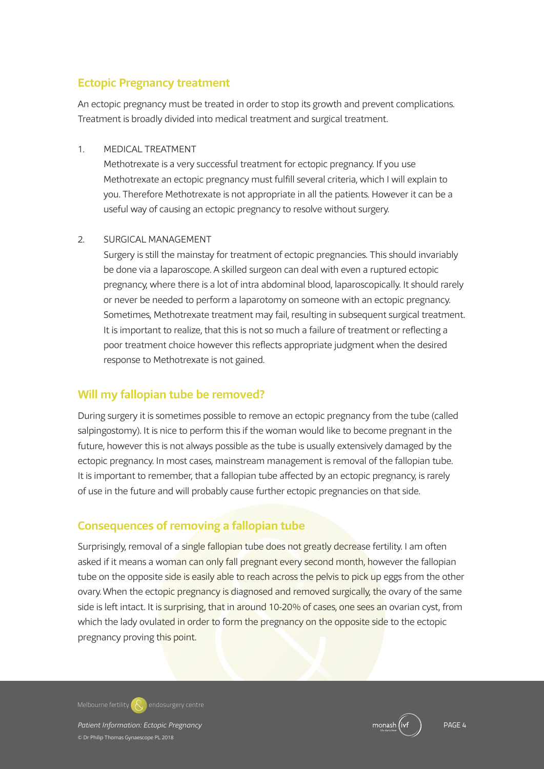### **Ectopic Pregnancy treatment**

An ectopic pregnancy must be treated in order to stop its growth and prevent complications. Treatment is broadly divided into medical treatment and surgical treatment.

#### 1. MEDICAL TREATMENT

 Methotrexate is a very successful treatment for ectopic pregnancy. If you use Methotrexate an ectopic pregnancy must fulfill several criteria, which I will explain to you. Therefore Methotrexate is not appropriate in all the patients. However it can be a useful way of causing an ectopic pregnancy to resolve without surgery.

#### 2. SURGICAL MANAGEMENT

 Surgery is still the mainstay for treatment of ectopic pregnancies. This should invariably be done via a laparoscope. A skilled surgeon can deal with even a ruptured ectopic pregnancy, where there is a lot of intra abdominal blood, laparoscopically. It should rarely or never be needed to perform a laparotomy on someone with an ectopic pregnancy. Sometimes, Methotrexate treatment may fail, resulting in subsequent surgical treatment. It is important to realize, that this is not so much a failure of treatment or reflecting a poor treatment choice however this reflects appropriate judgment when the desired response to Methotrexate is not gained.

## **Will my fallopian tube be removed?**

During surgery it is sometimes possible to remove an ectopic pregnancy from the tube (called salpingostomy). It is nice to perform this if the woman would like to become pregnant in the future, however this is not always possible as the tube is usually extensively damaged by the ectopic pregnancy. In most cases, mainstream management is removal of the fallopian tube. It is important to remember, that a fallopian tube affected by an ectopic pregnancy, is rarely of use in the future and will probably cause further ectopic pregnancies on that side.

## **Consequences of removing a fallopian tube**

Surprisingly, removal of a single fallopian tube does not greatly decrease fertility. I am often asked if it means a woman can only fall pregnant every second month, however the fallopian tube on the opposite side is easily able to reach across the pelvis to pick up eggs from the other ovary.When the ectopic pregnancy is diagnosed and removed surgically, the ovary of the same side is left intact. It is surprising, that in around 10-20% of cases, one sees an ovarian cyst, from which the lady ovulated in order to form the pregnancy on the opposite side to the ectopic pregnancy proving this point.

**Melbourne fertility endosurgery centre**

**Patient Information: Ectopic Pregnancy Properties and Containing Patient Containers PAGE 4** PAGE 4 © Dr Philip Thomas Gynaescope PL 2018